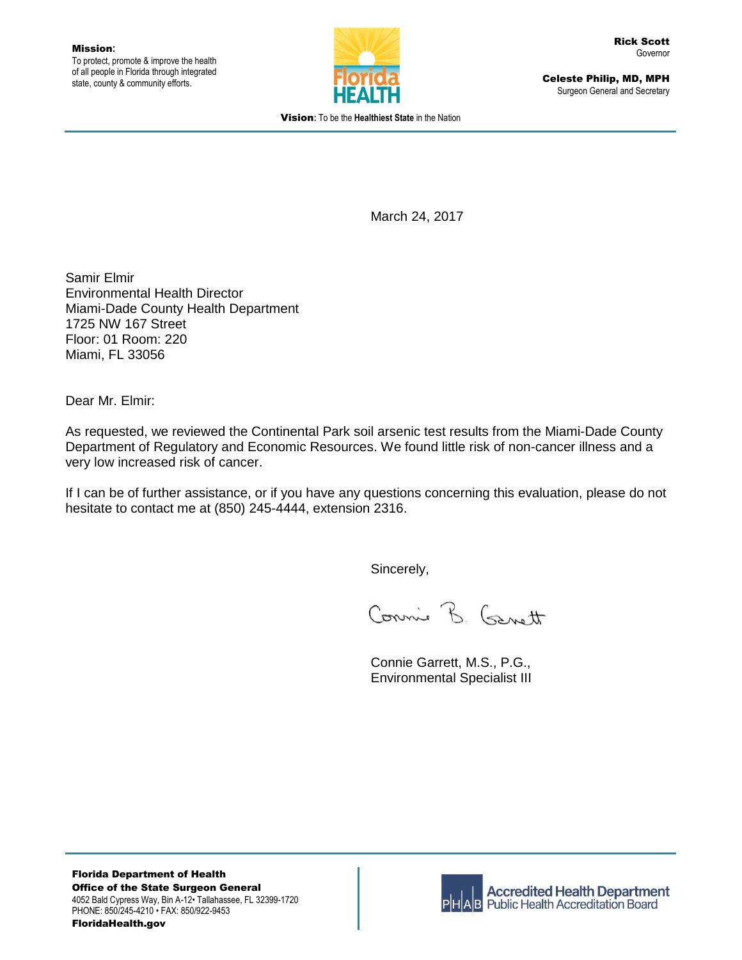

Celeste Philip, MD, MPH Surgeon General and Secretary

Vision**:** To be the **Healthiest State** in the Nation

March 24, 2017

Samir Elmir Environmental Health Director Miami-Dade County Health Department 1725 NW 167 Street Floor: 01 Room: 220 Miami, FL 33056

Dear Mr. Elmir:

As requested, we reviewed the Continental Park soil arsenic test results from the Miami-Dade County Department of Regulatory and Economic Resources. We found little risk of non-cancer illness and a very low increased risk of cancer.

If I can be of further assistance, or if you have any questions concerning this evaluation, please do not hesitate to contact me at (850) 245-4444, extension 2316.

Sincerely,

Connie B. Garott

Connie Garrett, M.S., P.G., Environmental Specialist III

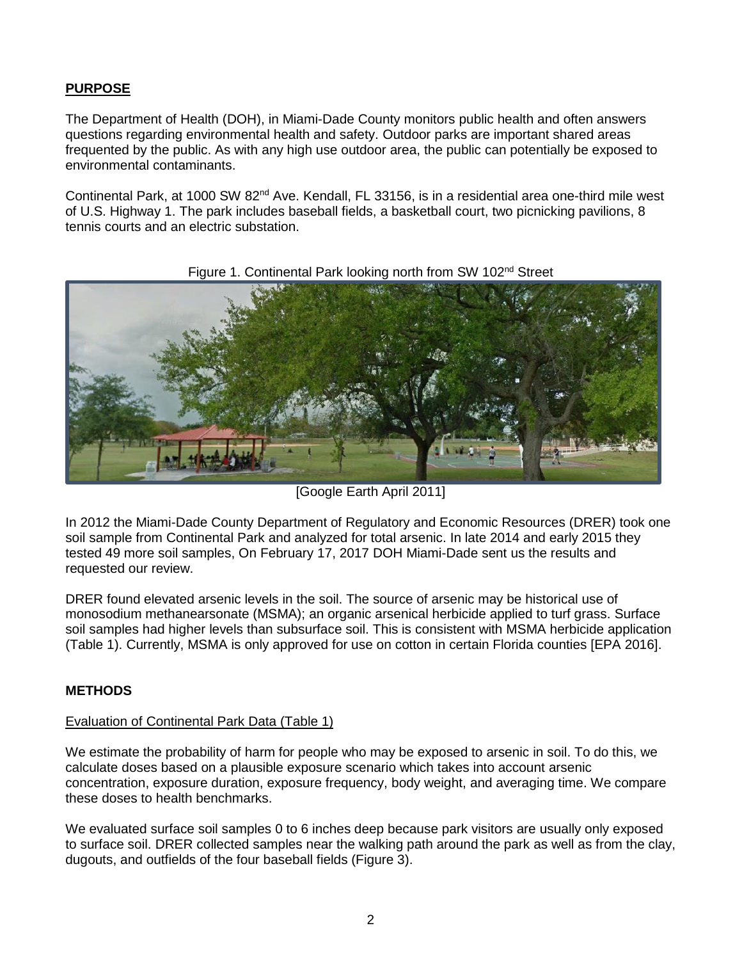## **PURPOSE**

The Department of Health (DOH), in Miami-Dade County monitors public health and often answers questions regarding environmental health and safety. Outdoor parks are important shared areas frequented by the public. As with any high use outdoor area, the public can potentially be exposed to environmental contaminants.

Continental Park, at 1000 SW 82<sup>nd</sup> Ave. Kendall, FL 33156, is in a residential area one-third mile west of U.S. Highway 1. The park includes baseball fields, a basketball court, two picnicking pavilions, 8 tennis courts and an electric substation.



#### Figure 1. Continental Park looking north from SW 102<sup>nd</sup> Street

[Google Earth April 2011]

In 2012 the Miami-Dade County Department of Regulatory and Economic Resources (DRER) took one soil sample from Continental Park and analyzed for total arsenic. In late 2014 and early 2015 they tested 49 more soil samples, On February 17, 2017 DOH Miami-Dade sent us the results and requested our review.

DRER found elevated arsenic levels in the soil. The source of arsenic may be historical use of monosodium methanearsonate (MSMA); an organic arsenical herbicide applied to turf grass. Surface soil samples had higher levels than subsurface soil. This is consistent with MSMA herbicide application (Table 1). Currently, MSMA is only approved for use on cotton in certain Florida counties [EPA 2016].

### **METHODS**

#### Evaluation of Continental Park Data (Table 1)

We estimate the probability of harm for people who may be exposed to arsenic in soil. To do this, we calculate doses based on a plausible exposure scenario which takes into account arsenic concentration, exposure duration, exposure frequency, body weight, and averaging time. We compare these doses to health benchmarks.

We evaluated surface soil samples 0 to 6 inches deep because park visitors are usually only exposed to surface soil. DRER collected samples near the walking path around the park as well as from the clay, dugouts, and outfields of the four baseball fields (Figure 3).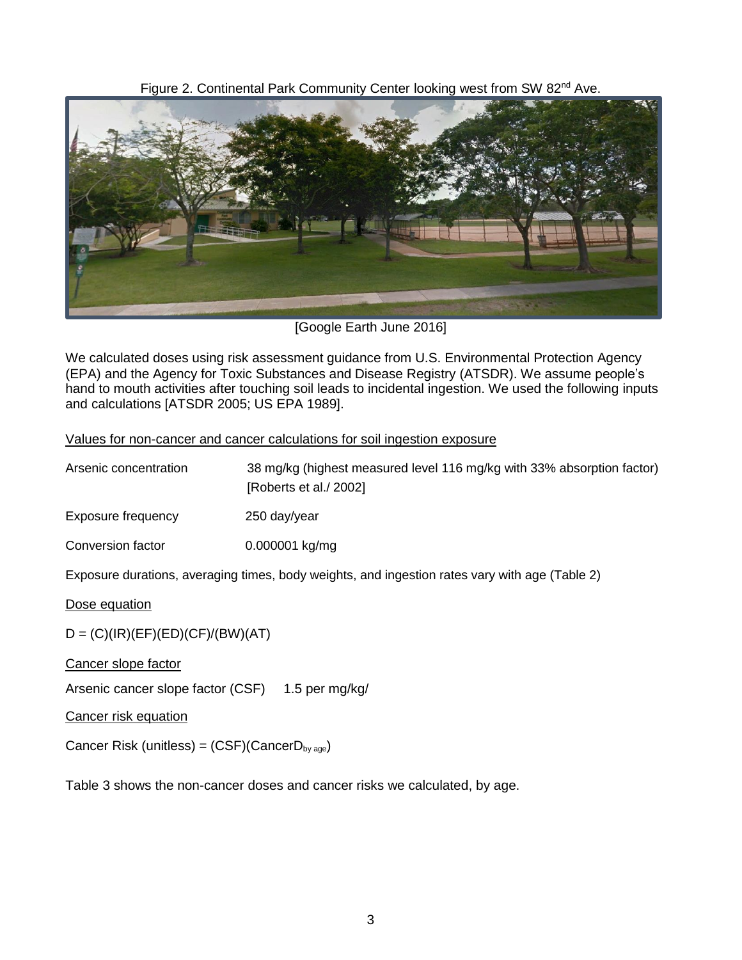Figure 2. Continental Park Community Center looking west from SW 82<sup>nd</sup> Ave.



[Google Earth June 2016]

We calculated doses using risk assessment guidance from U.S. Environmental Protection Agency (EPA) and the Agency for Toxic Substances and Disease Registry (ATSDR). We assume people's hand to mouth activities after touching soil leads to incidental ingestion. We used the following inputs and calculations [ATSDR 2005; US EPA 1989].

#### Values for non-cancer and cancer calculations for soil ingestion exposure

| Arsenic concentration | 38 mg/kg (highest measured level 116 mg/kg with 33% absorption factor)<br>[Roberts et al./ 2002] |
|-----------------------|--------------------------------------------------------------------------------------------------|
| Exposure frequency    | 250 day/year                                                                                     |
| Conversion factor     | 0.000001 kg/mg                                                                                   |

Exposure durations, averaging times, body weights, and ingestion rates vary with age (Table 2)

Dose equation

 $D = (C)(IR)(EF)(ED)(CF)/(BW)(AT)$ 

Cancer slope factor

Arsenic cancer slope factor (CSF) 1.5 per mg/kg/

Cancer risk equation

Cancer Risk (unitless) =  $(CSF)(CancerD_{by age})$ 

Table 3 shows the non-cancer doses and cancer risks we calculated, by age.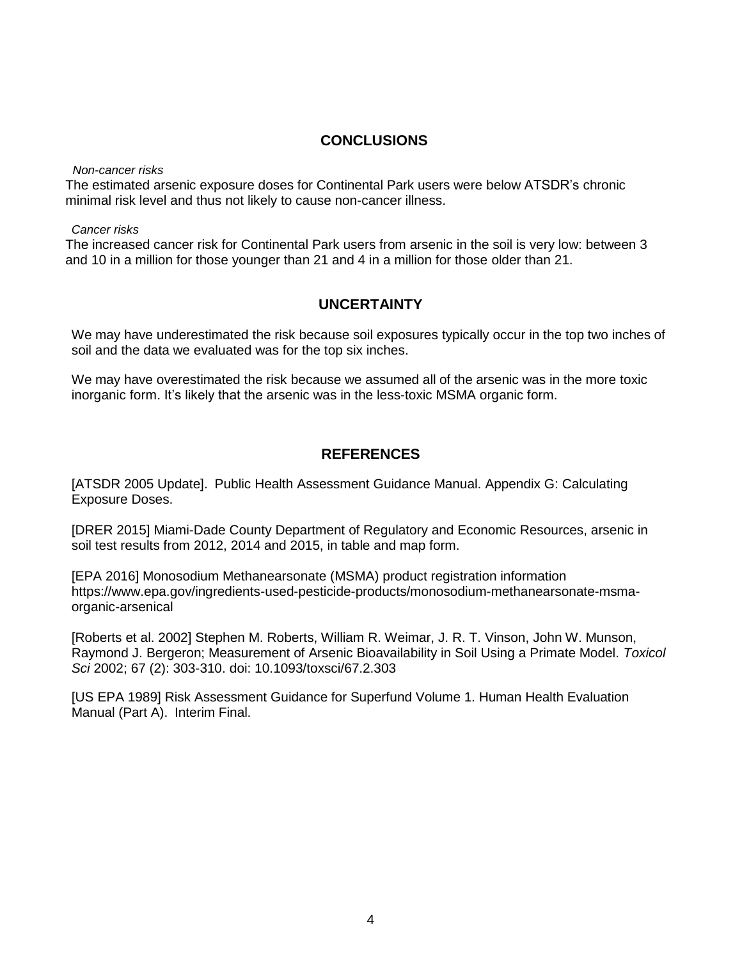### **CONCLUSIONS**

*Non-cancer risks*

The estimated arsenic exposure doses for Continental Park users were below ATSDR's chronic minimal risk level and thus not likely to cause non-cancer illness.

*Cancer risks*

The increased cancer risk for Continental Park users from arsenic in the soil is very low: between 3 and 10 in a million for those younger than 21 and 4 in a million for those older than 21.

# **UNCERTAINTY**

We may have underestimated the risk because soil exposures typically occur in the top two inches of soil and the data we evaluated was for the top six inches.

We may have overestimated the risk because we assumed all of the arsenic was in the more toxic inorganic form. It's likely that the arsenic was in the less-toxic MSMA organic form.

# **REFERENCES**

[ATSDR 2005 Update]. Public Health Assessment Guidance Manual. Appendix G: Calculating Exposure Doses.

[DRER 2015] Miami-Dade County Department of Regulatory and Economic Resources, arsenic in soil test results from 2012, 2014 and 2015, in table and map form.

[EPA 2016] Monosodium Methanearsonate (MSMA) product registration information https://www.epa.gov/ingredients-used-pesticide-products/monosodium-methanearsonate-msmaorganic-arsenical

[Roberts et al. 2002] Stephen M. Roberts, William R. Weimar, J. R. T. Vinson, John W. Munson, Raymond J. Bergeron; Measurement of Arsenic Bioavailability in Soil Using a Primate Model. *Toxicol Sci* 2002; 67 (2): 303-310. doi: 10.1093/toxsci/67.2.303

[US EPA 1989] Risk Assessment Guidance for Superfund Volume 1. Human Health Evaluation Manual (Part A). Interim Final.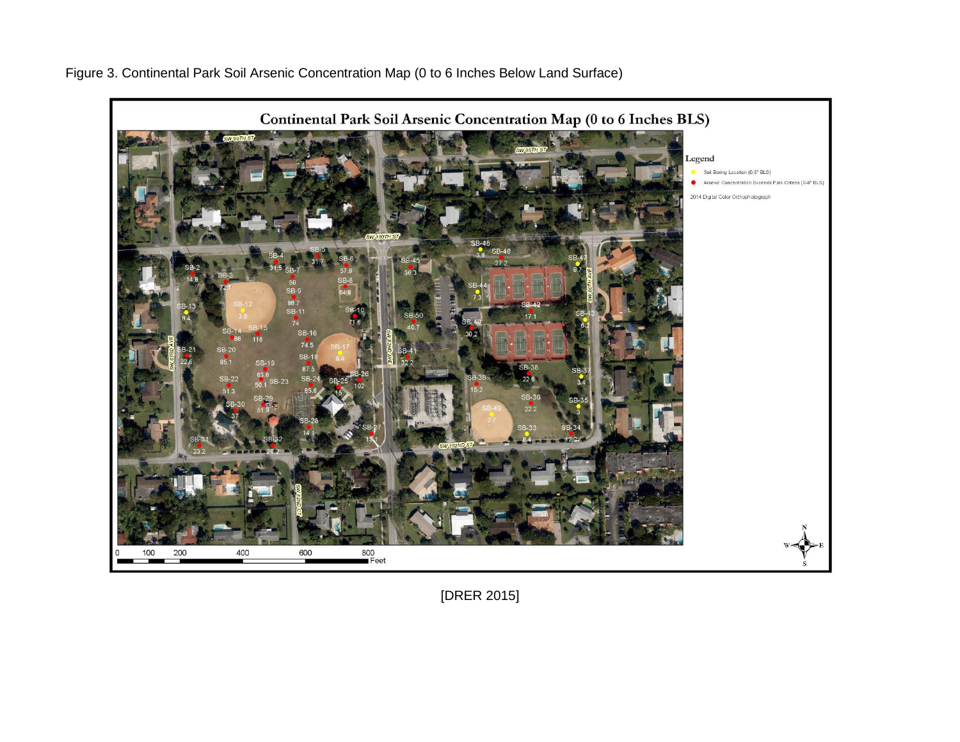Figure 3. Continental Park Soil Arsenic Concentration Map (0 to 6 Inches Below Land Surface)



[DRER 2015]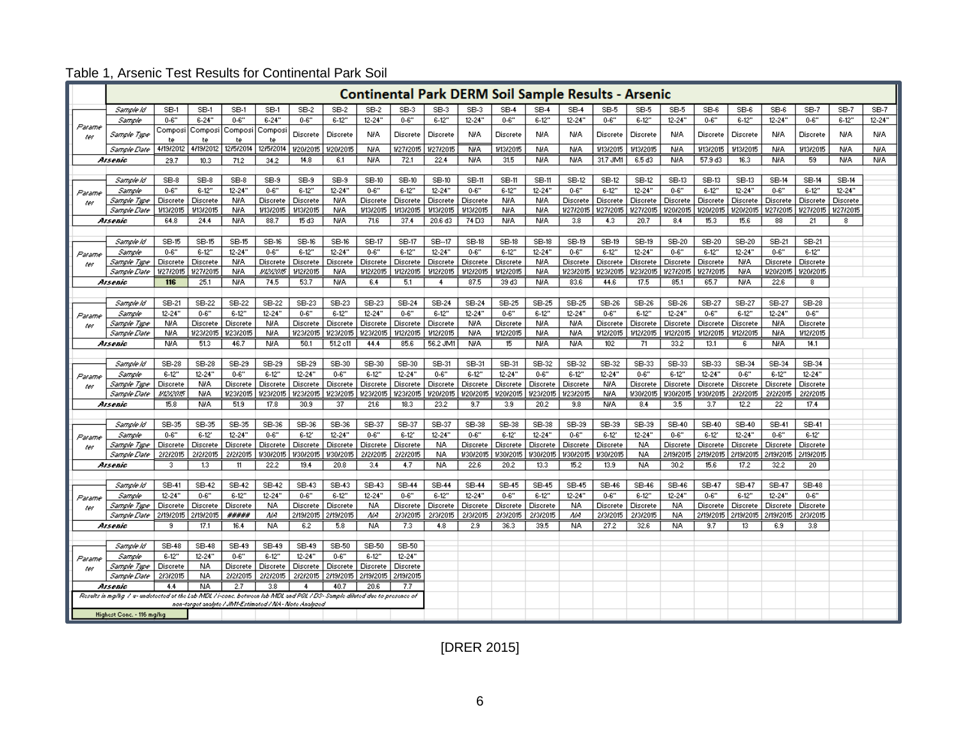|                                                                                                                            | <b>Continental Park DERM Soil Sample Results - Arsenic</b> |                      |                      |                      |                       |                       |                       |                      |                     |                   |                      |                     |                        |                      |                       |                    |                      |                       |                        |                      |                       |              |            |
|----------------------------------------------------------------------------------------------------------------------------|------------------------------------------------------------|----------------------|----------------------|----------------------|-----------------------|-----------------------|-----------------------|----------------------|---------------------|-------------------|----------------------|---------------------|------------------------|----------------------|-----------------------|--------------------|----------------------|-----------------------|------------------------|----------------------|-----------------------|--------------|------------|
|                                                                                                                            | Sample Id                                                  | SB-1                 | SB-1                 | SB-1                 | SB-1                  | $SB-2$                | $SB-2$                | SB-2                 | SB-3                | SB-3              | SB-3                 | SB-4                | SB-4                   | SB-4                 | SB-5                  | SB-5               | SB-5                 | SB-6                  | SB-6                   | SB-6                 | SB-7                  | SB-7         | SB-7       |
|                                                                                                                            | Sample                                                     | $0 - 6"$             | $6 - 24$ "           | $0 - 6"$             | $6 - 24$              | $0 - 6"$              | $6 - 12"$             | $12 - 24"$           | $0 - 6"$            | $6-12"$           | $12 - 24"$           | $0 - 6"$            | $6 - 12"$              | $12 - 24$ "          | $0 - 6"$              | $6-12"$            | $12 - 24$ "          | $0 - 6"$              | $6-12"$                | $12 - 24$ "          | $0 - 6"$              | $6-12"$      | $12 - 24"$ |
| Parame<br>ter                                                                                                              | Sample Type                                                | Composi<br>te        | Composi<br>te        | Composi<br>te        | Composi<br>te         | Discrete              | Discrete              | <b>N/A</b>           | Discrete            | Discrete          | NIA.                 | Discrete            | N/A                    | N/A                  | Discrete              | Discrete           | NIA.                 | Discrete              | <b>Discrete</b>        | NIA.                 | Discrete              | <b>NIA</b>   | <b>NIA</b> |
|                                                                                                                            | Sample Date                                                | 4/19/2012            | 4/19/2012            | 12/5/2014            | 12/5/2014             | 1/20/2015             | 1/20/2015             | <b>N/A</b>           | 1/27/2015           | 1/27/2015         | <b>N/A</b>           | 1/13/2015           | N/A                    | <b>N/A</b>           | 1/13/2015             | 1/13/2015          | <b>NIA</b>           | 1/13/2015             | 1/13/2015              | <b>N/A</b>           | 1/13/2015             | <b>NIA</b>   | <b>N/A</b> |
|                                                                                                                            | Arsenic                                                    | 29.7                 | 10.3                 | 71.2                 | 34.2                  | 14.8                  | 6.1                   | <b>NIA</b>           | 72.1                | 22.4              | <b>NIA</b>           | 31.5                | N/A                    | N/A                  | 31.7 JM1              | 6.5 d3             | <b>NIA</b>           | 57.9 d3               | 16.3                   | N/A                  | 59                    | <b>NIA</b>   | <b>NIA</b> |
|                                                                                                                            |                                                            |                      |                      |                      |                       |                       |                       |                      |                     |                   |                      |                     |                        |                      |                       |                    |                      |                       |                        |                      |                       |              |            |
|                                                                                                                            | Sample Id                                                  | SB-8                 | SB-8                 | SB-8                 | SB-9                  | SB-9                  | SB-9                  | SB-10                | SB-10               | SB-10             | <b>SB-11</b>         | SB-11               | SB-11                  | SB-12                | SB-12                 | SB-12              | SB-13                | SB-13                 | SB-13                  | SB-14                | SB-14                 | <b>SB-14</b> |            |
| Parame                                                                                                                     | Sample                                                     | $0 - 6"$             | $6-12"$              | $12 - 24"$           | $0 - 6"$              | $6-12"$               | $12 - 24$ "           | $0 - 6"$             | $6-12"$             | $12 - 24"$        | $0 - 6"$             | $6-12"$             | $12 - 24"$             | $0 - 6"$             | $6-12"$               | $12 - 24"$         | $0 - 6"$             | $6-12"$               | $12 - 24$ "            | $0 - 6"$             | $6-12"$               | $12 - 24"$   |            |
| ter                                                                                                                        | Sample Type                                                | Discrete             | <b>Discrete</b>      | <b>NIA</b>           | Discrete              | Discrete              | N/A                   | Discrete             | Discrete            | <b>Discrete</b>   | <b>Discrete</b>      | <b>N/A</b>          | N/A                    | Discrete             | Discrete              | Discrete           | Discrete             | Discrete              | Discrete               | Discrete             | Discrete              | Discrete     |            |
|                                                                                                                            | Sample Date                                                | 1/13/2015            | 1/13/2015            | <b>N/A</b>           | 1/13/2015             | 1/13/2015             | <b>N/A</b>            | 1/13/2015            | 1/13/2015           | 1/13/2015         | 1/13/2015            | <b>N/A</b>          | N/A                    | 1/27/2015            | 1/27/2015             | 1/27/2015          | 1/20/2015            | 1/20/2015             | 1/20/2015              | 1/27/2015            | 1/27/2015             | 1/27/2015    |            |
|                                                                                                                            | Arsenic                                                    | 64.8                 | 24.4                 | NIA.                 | 88.7                  | 15 d3                 | N/A                   | 71.6                 | 37.4                | 20.6 d3           | 74 D3                | <b>N/A</b>          | N/A                    | 3.8                  | 4.3                   | 20.7               | 8.4                  | 15.3                  | 15.6                   | 88                   | 21                    | 8            |            |
|                                                                                                                            |                                                            | SB-15                | <b>SB-15</b>         | SB-15                | SB-16                 | SB-16                 | SB-16                 | SB-17                | SB-17               | SB--17            | SB-18                | SB-18               | SB-18                  | SB-19                | SB-19                 | SB-19              | SB-20                | SB-20                 | SB-20                  | SB-21                | SB-21                 |              |            |
|                                                                                                                            | Sample Id<br>Sample                                        | $0 - 6"$             | $6-12"$              | $12 - 24"$           | $0 - 6"$              | $6-12"$               | $12 - 24$ "           | $0 - 6"$             | $6-12"$             | $12 - 24"$        | $0 - 6"$             | $6-12"$             | $12 - 24"$             | $0 - 6"$             | $6-12"$               | $12 - 24$ "        | $0 - 6"$             | $6-12"$               | $12 - 24$ "            | $0 - 6"$             | $6-12"$               |              |            |
| Parame                                                                                                                     | Sample Type                                                | <b>Discrete</b>      | Discrete             | <b>NIA</b>           | Discrete              | Discrete              | Discrete              | <b>Discrete</b>      | <b>Discrete</b>     | <b>Discrete</b>   | <b>Discrete</b>      | Discrete            | N/A                    | Discrete             | Discrete              | Discrete           | Discrete             | Discrete              | <b>N/A</b>             | Discrete             | <b>Discrete</b>       |              |            |
| ter                                                                                                                        | Sample Date                                                | 1/27/2015            | 1/27/2015            | <b>N/A</b>           | 14242015              | 1/12/2015             | <b>N/A</b>            | 1/12/2015            | 1/12/2015           | 1/12/2015         | 1/12/2015            | 1/12/2015           | N/A                    | 1/23/2015            | 1/23/2015             | 1/23/2015          | 1/27/2015            | 1/27/2015             | <b>NIA</b>             | 1/20/2015            | 1/20/2015             |              |            |
|                                                                                                                            | Arsenic                                                    | 116                  | 25.1                 | <b>NIA</b>           | 74.5                  | 53.7                  | N/A                   | 6.4                  | 5.1                 | 4                 | 87.5                 | 39 d3               | N/A                    | 83.6                 | 44.6                  | 17.5               | 85.1                 | 65.7                  | NIA.                   | 22.6                 | 8                     |              |            |
|                                                                                                                            |                                                            |                      |                      |                      |                       |                       |                       |                      |                     |                   |                      |                     |                        |                      |                       |                    |                      |                       |                        |                      |                       |              |            |
|                                                                                                                            | Sample Id                                                  | SB-21                | SB-22                | SB-22                | SB-22                 | SB-23                 | SB-23                 | SB-23                | SB-24               | SB-24             | SB-24                | SB-25               | SB-25                  | SB-25                | SB-26                 | SB-26              | SB-26                | SB-27                 | SB-27                  | SB-27                | SB-28                 |              |            |
| Parame                                                                                                                     | Sample                                                     | $12 - 24"$           | $0 - 6"$             | $6-12"$              | $12 - 24"$            | $0 - 6"$              | $6-12"$               | $12 - 24"$           | $0 - 6"$            | $6-12"$           | $12 - 24"$           | $0 - 6"$            | $6-12"$                | $12 - 24"$           | $0 - 6"$              | $6 - 12"$          | $12 - 24"$           | $0 - 6"$              | $6-12"$                | $12 - 24"$           | $0 - 6"$              |              |            |
| ter                                                                                                                        | Sample Type                                                | <b>N/A</b>           | Discrete             | Discrete             | <b>NIA</b>            | Discrete              | Discrete              | Discrete             | <b>Discrete</b>     | <b>Discrete</b>   | N/A                  | Discrete            | <b>NIA</b>             | <b>N/A</b>           | Discrete              | Discrete           | Discrete             | <b>Discrete</b>       | Discrete               | <b>NIA</b>           | Discrete              |              |            |
|                                                                                                                            | Sample Date                                                | N/A                  | 1/23/2015            | 1/23/2015            | <b>NIA</b>            | 1/23/2015             | 1/23/2015             | 1/23/2015            | 1/12/2015           | 1/12/2015         | <b>NIA</b>           | 1/12/2015           | N/A                    | <b>N/A</b>           | 1/12/2015             | 1/12/2015          | 1/12/2015            | 1/12/2015             | 1/12/2015              | N/A                  | 1/12/2015             |              |            |
|                                                                                                                            | Arsenic                                                    | NIA                  | 51.3                 | 46.7                 | N/A                   | 50.1                  | 51.2 c11              | 44.4                 | 85.6                | 56.2 JM1          | <b>N/A</b>           | 15                  | NIA.                   | <b>N/A</b>           | 102                   | 71                 | 33.2                 | 13.1                  | 6                      | NIA.                 | 14.1                  |              |            |
|                                                                                                                            |                                                            |                      |                      |                      |                       |                       |                       |                      |                     |                   |                      |                     |                        |                      |                       |                    |                      |                       |                        |                      |                       |              |            |
|                                                                                                                            | Sample Id                                                  | SB-28                | SB-28                | SB-29                | SB-29                 | SB-29                 | SB-30                 | SB-30                | SB-30               | SB-31             | SB-31                | SB-31               | SB-32                  | SB-32                | SB-32                 | SB-33              | SB-33                | SB-33                 | SB-34                  | SB-34                | SB-34                 |              |            |
| Parame                                                                                                                     | Sample                                                     | $6-12"$              | $12 - 24'$           | $0 - 6"$             | $6 - 12"$             | $12 - 24$ "           | $0 - 6"$              | $6 - 12"$            | $12 - 24"$          | $0 - 6"$          | $6 - 12"$            | $12 - 24$ "         | $0 - 6"$               | $6 - 12"$            | $12 - 24"$            | $0 - 6"$           | $6-12"$              | $12 - 24$ "           | $0 - 6"$               | $6-12"$              | $12 - 24$ "           |              |            |
| ter                                                                                                                        | Sample Type                                                | Discrete             | <b>NIA</b>           | Discrete             | Discrete              | <b>Discrete</b>       | Discrete              | Discrete             | Discrete            | Discrete          | Discrete             | Discrete            | <b>Discrete</b>        | Discrete             | N/A                   | Discrete           | Discrete             | Discrete              | <b>Discrete</b>        | Discrete             | Discrete              |              |            |
|                                                                                                                            | Sample Date                                                | <i>V1242015</i>      | <b>NIA</b>           | 1/23/2015            | 1/23/2015             | 1/23/2015             | 1/23/2015             | 1/23/2015            | 1/23/2015           | 1/20/2015         | 1/20/2015            | 1/20/2015           | 1/23/2015              | 1/23/2015            | <b>N/A</b>            | 1/30/2015          | 1/30/2015            | 1/30/2015             | 2/2/2015               | 2/2/2015             | 2/2/2015              |              |            |
|                                                                                                                            | Arsenic                                                    | 15.8                 | <b>N/A</b>           | 51.9                 | 17.8                  | 30.9                  | 37                    | 21.6                 | 18.3                | 23.2              | 9.7                  | 3.9                 | 20.2                   | 9.8                  | <b>N/A</b>            | 8.4                | 3.5                  | 3.7                   | 12.2                   | 22                   | 17.4                  |              |            |
|                                                                                                                            |                                                            |                      |                      |                      |                       |                       |                       |                      |                     |                   |                      |                     |                        |                      |                       |                    |                      |                       |                        |                      |                       |              |            |
|                                                                                                                            | Sample Id                                                  | SB-35                | SB-35                | SB-35                | SB-36                 | SB-36                 | SB-36                 | SB-37                | SB-37               | SB-37             | SB-38                | SB-38               | SB-38                  | SB-39                | SB-39                 | SB-39              | SB-40                | SB-40                 | SB-40                  | SB-41                | SB-41                 |              |            |
| Parame                                                                                                                     | Samole                                                     | $0 - 6"$<br>Discrete | $6 - 12'$            | $12 - 24"$           | $0 - 6"$              | $6 - 12'$<br>Discrete | $12 - 24"$            | $0 - 6"$<br>Discrete | $6-12'$<br>Discrete | $12 - 24"$<br>NA. | $0 - 6"$<br>Discrete | $6-12'$<br>Discrete | $12 - 24"$<br>Discrete | $0 - 6"$<br>Discrete | $6 - 12'$<br>Discrete | $12 - 24$ "<br>NA. | $0 - 6"$<br>Discrete | $6 - 12'$<br>Discrete | $12 - 24"$<br>Discrete | $0 - 6"$<br>Discrete | $6 - 12'$<br>Discrete |              |            |
| ter                                                                                                                        | Sample Type<br>Sample Date                                 | 2/2/2015             | Discrete<br>2/2/2015 | Discrete<br>2/2/2015 | Discrete<br>1/30/2015 | 1/30/2015             | Discrete<br>1/30/2015 | 2/2/2015             | 2/2/2015            | NA.               | 1/30/2015            | 1/30/2015           | 1/30/2015              | 1/30/2015            | 1/30/2015             | NA.                | 2/19/2015            | 2/19/2015             | 2/19/2015              | 2/19/2015            | 2/19/2015             |              |            |
|                                                                                                                            | Arsenic                                                    | з.                   | 1.3                  | 11                   | 22.2                  | 19.4                  | 20.8                  | 3.4                  | 4.7                 | NA.               | 22.6                 | 20.2                | 13.3                   | 15.2                 | 13.9                  | NA.                | 30.2                 | 15.6                  | 17.2                   | 32.2                 | 20                    |              |            |
|                                                                                                                            |                                                            |                      |                      |                      |                       |                       |                       |                      |                     |                   |                      |                     |                        |                      |                       |                    |                      |                       |                        |                      |                       |              |            |
|                                                                                                                            | Sample Id                                                  | SB-41                | SB-42                | SB-42                | SB-42                 | SB-43                 | SB-43                 | SB-43                | SB-44               | SB-44             | SB-44                | SB-45               | SB-45                  | SB-45                | SB-46                 | SB-46              | SB-46                | SB-47                 | SB-47                  | SB-47                | <b>SB-48</b>          |              |            |
| Parame                                                                                                                     | Sample                                                     | $12 - 24"$           | $0 - 6"$             | $6 - 12"$            | $12 - 24$ "           | $0 - 6"$              | $6 - 12"$             | $12 - 24"$           | $0 - 6"$            | $6-12"$           | $12 - 24"$           | $0 - 6"$            | $6 - 12^{n}$           | $12 - 24$ "          | $0 - 6"$              | $6-12"$            | $12 - 24"$           | $0 - 6"$              | $6-12"$                | $12 - 24$ "          | $0 - 6"$              |              |            |
| ter                                                                                                                        | Sample Tipe                                                | Discrete             | <b>Discrete</b>      | Discrete             | NA.                   | Discrete              | Discrete              | NA.                  | <b>Discrete</b>     | Discrete          | Discrete             | Discrete            | Discrete               | NA.                  | Discrete              | Discrete           | NA.                  | Discrete              | Discrete               | Discrete             | <b>Discrete</b>       |              |            |
|                                                                                                                            | Sample Date                                                | 2/19/2015            | 2/19/2015            | #####                | NА                    | 2/19/2015             | 2/19/2015             | ЛW                   | 2/3/2015            | 2/3/2015          | 2/3/2015             | 2/3/2015            | 2/3/2015               | ЛW                   | 2/3/2015              | 2/3/2015           | NA.                  | 2/19/2015             | 2/19/2015              | 2/19/2015            | 2/3/2015              |              |            |
|                                                                                                                            | Arsenic                                                    | 9                    | 17.1                 | 16.4                 | NA.                   | 6.2                   | 5.8                   | NA.                  | 7.3                 | 4.8               | 2.9                  | 36.3                | 39.5                   | NA.                  | 27.2                  | 32.6               | NA.                  | 9.7                   | 13.                    | 6.9                  | 3.8                   |              |            |
|                                                                                                                            |                                                            |                      |                      |                      |                       |                       |                       |                      |                     |                   |                      |                     |                        |                      |                       |                    |                      |                       |                        |                      |                       |              |            |
|                                                                                                                            | Sample Id                                                  | SB-48                | SB-48                | SB-49                | SB-49                 | SB-49                 | SB-50                 | SB-50                | SB-50               |                   |                      |                     |                        |                      |                       |                    |                      |                       |                        |                      |                       |              |            |
| Parame                                                                                                                     | Sample                                                     | $6-12"$              | $12 - 24"$           | $0 - 6"$             | $6-12"$               | $12 - 24$ "           | $0 - 6"$              | $6-12"$              | $12 - 24"$          |                   |                      |                     |                        |                      |                       |                    |                      |                       |                        |                      |                       |              |            |
| ter                                                                                                                        | Sample Type                                                | <b>Discrete</b>      | NA.                  | Discrete             | Discrete              | <b>Discrete</b>       | Discrete              | <b>Discrete</b>      | <b>Discrete</b>     |                   |                      |                     |                        |                      |                       |                    |                      |                       |                        |                      |                       |              |            |
|                                                                                                                            | Sample Date                                                | 2/3/2015             | NA.                  | 2/2/2015             | 2/2/2015              | 2/2/2015              | 2/19/2015             | 2/19/2015            | 2/19/2015           |                   |                      |                     |                        |                      |                       |                    |                      |                       |                        |                      |                       |              |            |
| NA.<br>4.4<br>2.7<br>3.8<br>4<br>40.7<br>20.6<br>7.7<br>Arsenic                                                            |                                                            |                      |                      |                      |                       |                       |                       |                      |                     |                   |                      |                     |                        |                      |                       |                    |                      |                       |                        |                      |                       |              |            |
| Results in mailig I a-undetected at the Lab NIDL I i-conc. between lab NIDL and PBL I DS-Sample diluted due to presence of |                                                            |                      |                      |                      |                       |                       |                       |                      |                     |                   |                      |                     |                        |                      |                       |                    |                      |                       |                        |                      |                       |              |            |
| non-target analyte / Milf-Estimated / NA- Note Analyzed<br>Highest Conc. - 116 mg/kg                                       |                                                            |                      |                      |                      |                       |                       |                       |                      |                     |                   |                      |                     |                        |                      |                       |                    |                      |                       |                        |                      |                       |              |            |
|                                                                                                                            |                                                            |                      |                      |                      |                       |                       |                       |                      |                     |                   |                      |                     |                        |                      |                       |                    |                      |                       |                        |                      |                       |              |            |

# Table 1, Arsenic Test Results for Continental Park Soil

[DRER 2015]